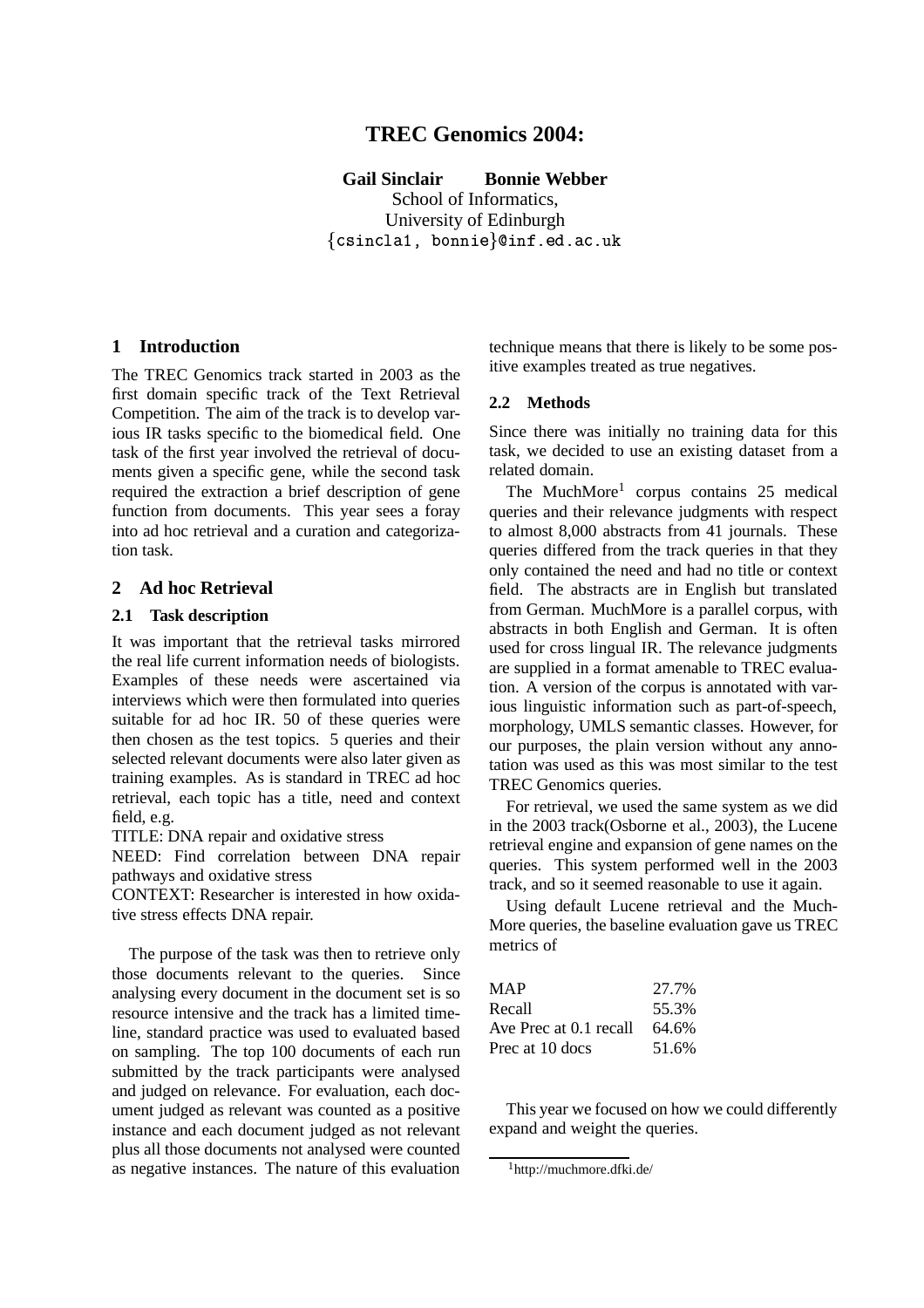# **TREC Genomics 2004:**

**Gail Sinclair Bonnie Webber** School of Informatics,

University of Edinburgh  $-$  . The state of the state of the state of the state of the state of the state of the state of the state of the state of the state of the state of the state of the state of the state of the state of the state of the sta

### **1 Introduction**

The TREC Genomics track started in 2003 as the first domain specific track of the Text Retrieval Competition. The aim of the track is to develop various IR tasks specific to the biomedical field. One task of the first year involved the retrieval of documents given a specific gene, while the second task required the extraction a brief description of gene function from documents. This year sees a foray into ad hoc retrieval and a curation and categorization task.

### **2 Ad hoc Retrieval**

#### **2.1 Task description**

It was important that the retrieval tasks mirrored the real life current information needs of biologists. Examples of these needs were ascertained via interviews which were then formulated into queries suitable for ad hoc IR. 50 of these queries were then chosen as the test topics. 5 queries and their selected relevant documents were also later given as training examples. As is standard in TREC ad hoc retrieval, each topic has a title, need and context field, e.g.

TITLE: DNA repair and oxidative stress

NEED: Find correlation between DNA repair pathways and oxidative stress

CONTEXT: Researcher is interested in how oxidative stress effects DNA repair.

The purpose of the task was then to retrieve only those documents relevant to the queries. Since analysing every document in the document set is so resource intensive and the track has a limited timeline, standard practice was used to evaluated based on sampling. The top 100 documents of each run submitted by the track participants were analysed and judged on relevance. For evaluation, each document judged as relevant was counted as a positive instance and each document judged as not relevant plus all those documents not analysed were counted as negative instances. The nature of this evaluation technique means that there is likely to be some positive examples treated as true negatives.

### **2.2 Methods**

Since there was initially no training data for this task, we decided to use an existing dataset from a related domain.

The MuchMore<sup>1</sup> corpus contains 25 medical queries and their relevance judgments with respect to almost 8,000 abstracts from 41 journals. These queries differed from the track queries in that they only contained the need and had no title or context field. The abstracts are in English but translated from German. MuchMore is a parallel corpus, with abstracts in both English and German. It is often used for cross lingual IR. The relevance judgments are supplied in a format amenable to TREC evaluation. A version of the corpus is annotated with various linguistic information such as part-of-speech, morphology, UMLS semantic classes. However, for our purposes, the plain version without any annotation was used as this was most similar to the test TREC Genomics queries.

For retrieval, we used the same system as we did in the 2003 track(Osborne et al., 2003), the Lucene retrieval engine and expansion of gene names on the queries. This system performed well in the 2003 track, and so it seemed reasonable to use it again.

Using default Lucene retrieval and the Much-More queries, the baseline evaluation gave us TREC metrics of

| MAP                    | 27.7% |
|------------------------|-------|
| Recall                 | 55.3% |
| Ave Prec at 0.1 recall | 64.6% |
| Prec at 10 docs        | 51.6% |

This year we focused on how we could differently expand and weight the queries.

<sup>&</sup>lt;sup>1</sup>http://muchmore.dfki.de/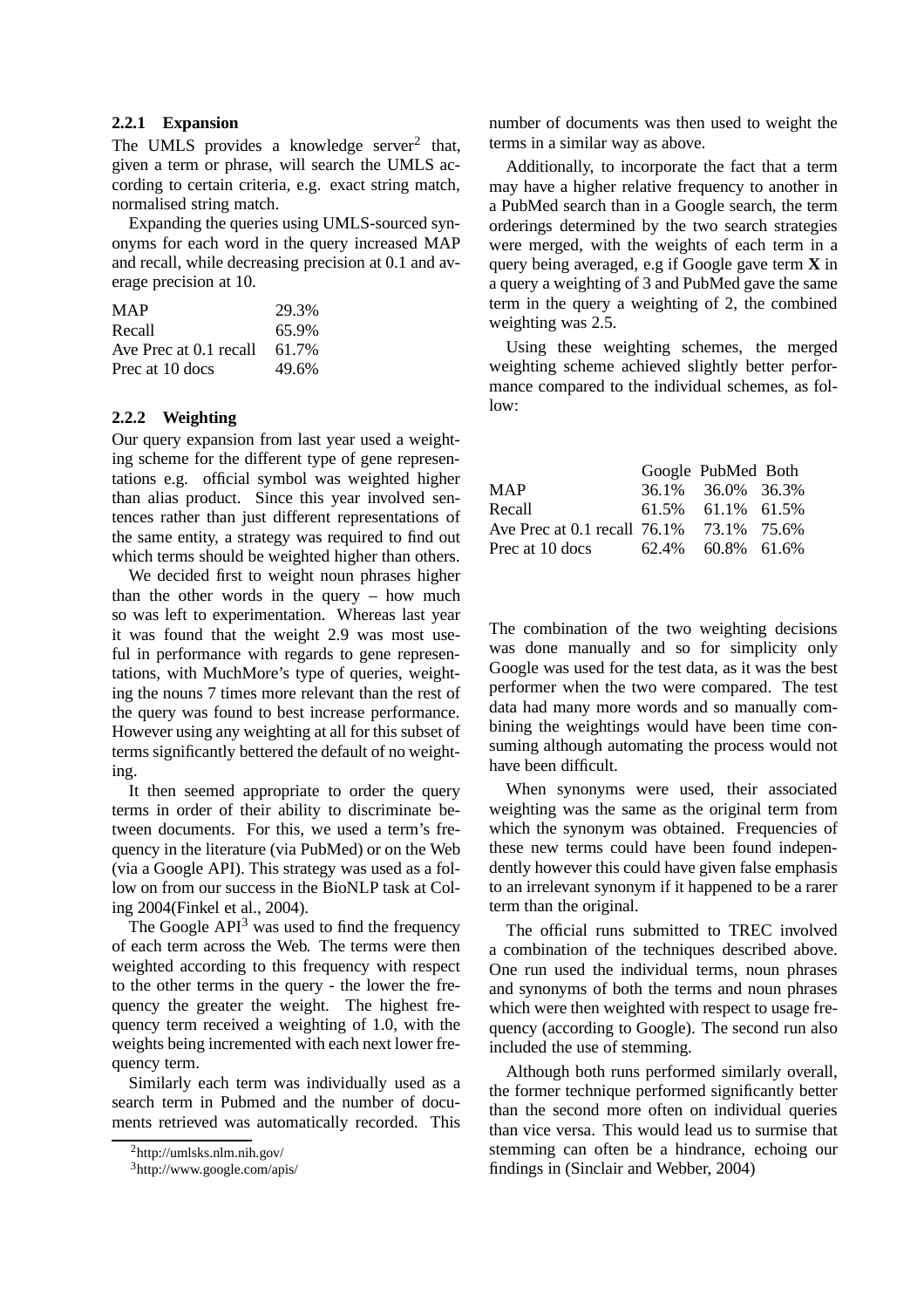### **2.2.1 Expansion**

The UMLS provides a knowledge server<sup>2</sup> that, given a term or phrase, will search the UMLS according to certain criteria, e.g. exact string match, normalised string match.

Expanding the queries using UMLS-sourced synonyms for each word in the query increased MAP and recall, while decreasing precision at 0.1 and average precision at 10.

| <b>MAP</b>             | 29.3% |
|------------------------|-------|
| Recall                 | 65.9% |
| Ave Prec at 0.1 recall | 61.7% |
| Prec at 10 docs        | 49.6% |

### **2.2.2 Weighting**

Our query expansion from last year used a weighting scheme for the different type of gene representations e.g. official symbol was weighted higher than alias product. Since this year involved sentences rather than just different representations of the same entity, a strategy was required to find out which terms should be weighted higher than others.

We decided first to weight noun phrases higher than the other words in the query – how much so was left to experimentation. Whereas last year it was found that the weight 2.9 was most useful in performance with regards to gene representations, with MuchMore's type of queries, weighting the nouns 7 times more relevant than the rest of the query was found to best increase performance. However using any weighting at all for this subset of terms significantly bettered the default of no weighting.

It then seemed appropriate to order the query terms in order of their ability to discriminate between documents. For this, we used a term's frequency in the literature (via PubMed) or on the Web (via a Google API). This strategy was used as a follow on from our success in the BioNLP task at Coling 2004(Finkel et al., 2004).

The Google  $API<sup>3</sup>$  was used to find the frequency of each term across the Web. The terms were then weighted according to this frequency with respect to the other terms in the query - the lower the frequency the greater the weight. The highest frequency term received a weighting of 1.0, with the weights being incremented with each next lower frequency term.

Similarly each term was individually used as a search term in Pubmed and the number of documents retrieved was automatically recorded. This

number of documents was then used to weight the terms in a similar way as above.

Additionally, to incorporate the fact that a term may have a higher relative frequency to another in a PubMed search than in a Google search, the term orderings determined by the two search strategies were merged, with the weights of each term in a query being averaged, e.g if Google gave term **X** in a query a weighting of 3 and PubMed gave the same term in the query a weighting of 2, the combined weighting was 2.5.

Using these weighting schemes, the merged weighting scheme achieved slightly better performance compared to the individual schemes, as fol $low<sup>2</sup>$ 

|                                          | Google PubMed Both |  |
|------------------------------------------|--------------------|--|
| <b>MAP</b>                               | 36.1% 36.0% 36.3%  |  |
| Recall                                   | 61.5% 61.1% 61.5%  |  |
| Ave Prec at 0.1 recall 76.1% 73.1% 75.6% |                    |  |
| Prec at 10 docs                          | 62.4% 60.8% 61.6%  |  |

The combination of the two weighting decisions was done manually and so for simplicity only Google was used for the test data, as it was the best performer when the two were compared. The test data had many more words and so manually combining the weightings would have been time consuming although automating the process would not have been difficult.

When synonyms were used, their associated weighting was the same as the original term from which the synonym was obtained. Frequencies of these new terms could have been found independently however this could have given false emphasis to an irrelevant synonym if it happened to be a rarer term than the original.

The official runs submitted to TREC involved a combination of the techniques described above. One run used the individual terms, noun phrases and synonyms of both the terms and noun phrases which were then weighted with respect to usage frequency (according to Google). The second run also included the use of stemming.

Although both runs performed similarly overall, the former technique performed significantly better than the second more often on individual queries than vice versa. This would lead us to surmise that stemming can often be a hindrance, echoing our findings in (Sinclair and Webber, 2004)

<sup>2</sup> http://umlsks.nlm.nih.gov/

<sup>3</sup>http://www.google.com/apis/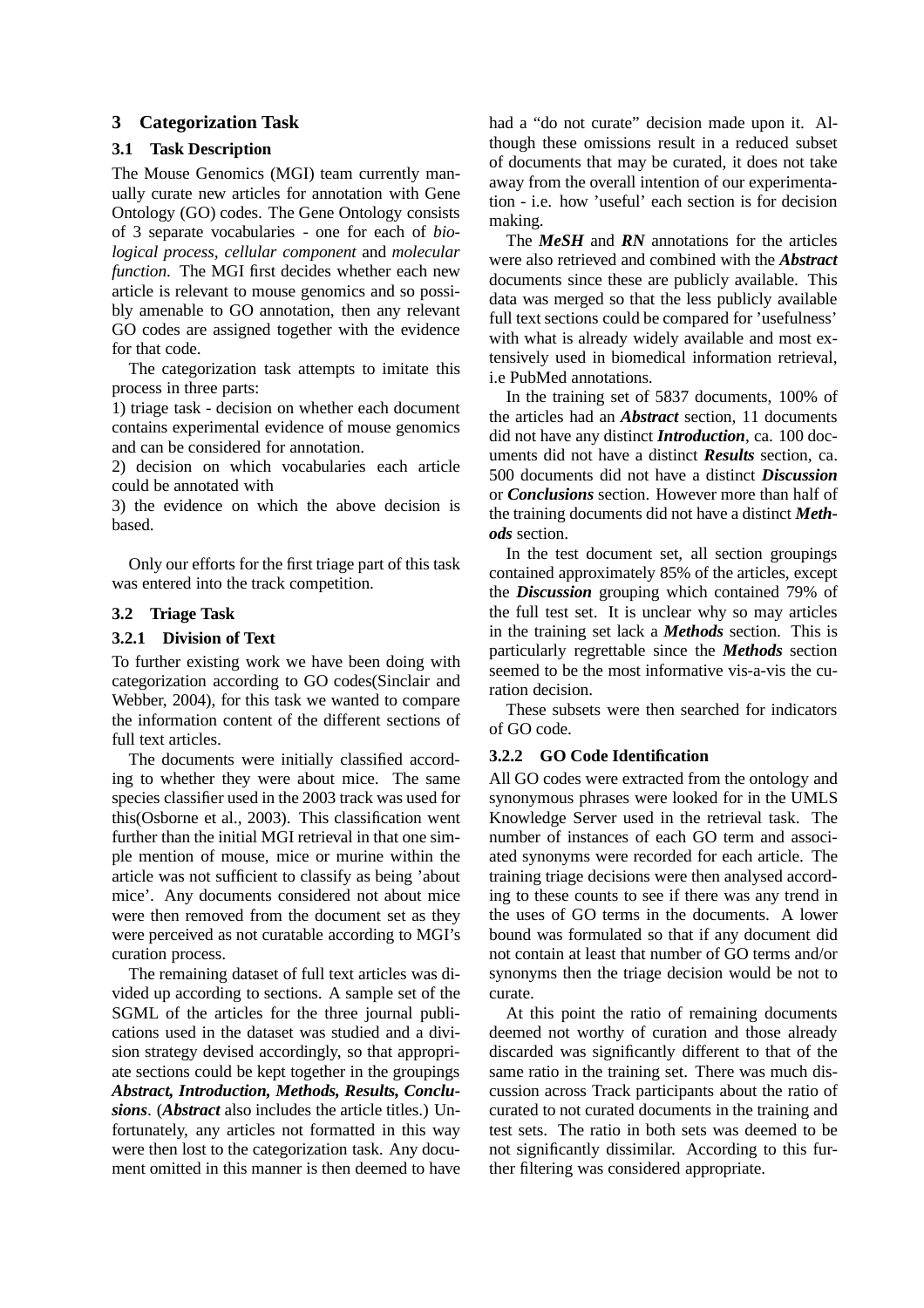### **3 Categorization Task**

#### **3.1 Task Description**

The Mouse Genomics (MGI) team currently manually curate new articles for annotation with Gene Ontology (GO) codes. The Gene Ontology consists of 3 separate vocabularies - one for each of *biological process, cellular component* and *molecular function*. The MGI first decides whether each new article is relevant to mouse genomics and so possibly amenable to GO annotation, then any relevant GO codes are assigned together with the evidence for that code.

The categorization task attempts to imitate this process in three parts:

1) triage task - decision on whether each document contains experimental evidence of mouse genomics and can be considered for annotation.

2) decision on which vocabularies each article could be annotated with

3) the evidence on which the above decision is based.

Only our efforts for the first triage part of this task was entered into the track competition.

#### **3.2 Triage Task**

#### **3.2.1 Division of Text**

To further existing work we have been doing with categorization according to GO codes(Sinclair and Webber, 2004), for this task we wanted to compare the information content of the different sections of full text articles.

The documents were initially classified according to whether they were about mice. The same species classifier used in the 2003 track was used for this(Osborne et al., 2003). This classification went further than the initial MGI retrieval in that one simple mention of mouse, mice or murine within the article was not sufficient to classify as being 'about mice'. Any documents considered not about mice were then removed from the document set as they were perceived as not curatable according to MGI's curation process.

The remaining dataset of full text articles was divided up according to sections. A sample set of the SGML of the articles for the three journal publications used in the dataset was studied and a division strategy devised accordingly, so that appropriate sections could be kept together in the groupings *Abstract, Introduction, Methods, Results, Conclusions*. (*Abstract* also includes the article titles.) Unfortunately, any articles not formatted in this way were then lost to the categorization task. Any document omitted in this manner is then deemed to have

had a "do not curate" decision made upon it. Although these omissions result in a reduced subset of documents that may be curated, it does not take away from the overall intention of our experimentation - i.e. how 'useful' each section is for decision making.

The *MeSH* and *RN* annotations for the articles were also retrieved and combined with the *Abstract* documents since these are publicly available. This data was merged so that the less publicly available full text sections could be compared for 'usefulness' with what is already widely available and most extensively used in biomedical information retrieval, i.e PubMed annotations.

In the training set of 5837 documents, 100% of the articles had an *Abstract* section, 11 documents did not have any distinct *Introduction*, ca. 100 documents did not have a distinct *Results* section, ca. 500 documents did not have a distinct *Discussion* or *Conclusions* section. However more than half of the training documents did not have a distinct *Methods* section.

In the test document set, all section groupings contained approximately 85% of the articles, except the *Discussion* grouping which contained 79% of the full test set. It is unclear why so may articles in the training set lack a *Methods* section. This is particularly regrettable since the *Methods* section seemed to be the most informative vis-a-vis the curation decision.

These subsets were then searched for indicators of GO code.

### **3.2.2 GO Code Identification**

All GO codes were extracted from the ontology and synonymous phrases were looked for in the UMLS Knowledge Server used in the retrieval task. The number of instances of each GO term and associated synonyms were recorded for each article. The training triage decisions were then analysed according to these counts to see if there was any trend in the uses of GO terms in the documents. A lower bound was formulated so that if any document did not contain at least that number of GO terms and/or synonyms then the triage decision would be not to curate.

At this point the ratio of remaining documents deemed not worthy of curation and those already discarded was significantly different to that of the same ratio in the training set. There was much discussion across Track participants about the ratio of curated to not curated documents in the training and test sets. The ratio in both sets was deemed to be not significantly dissimilar. According to this further filtering was considered appropriate.